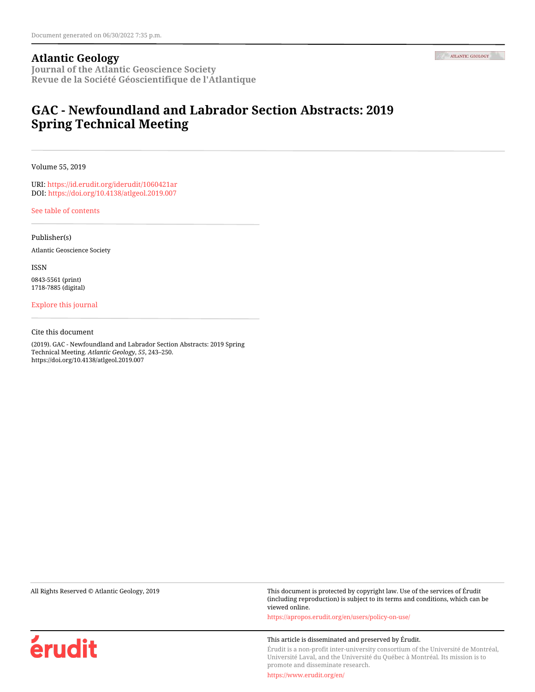#### **Atlantic Geology**

**Journal of the Atlantic Geoscience Society Revue de la Société Géoscientifique de l'Atlantique**

### **GAC - Newfoundland and Labrador Section Abstracts: 2019 Spring Technical Meeting**

Volume 55, 2019

URI:<https://id.erudit.org/iderudit/1060421ar> DOI:<https://doi.org/10.4138/atlgeol.2019.007>

[See table of contents](https://www.erudit.org/en/journals/ageo/2019-v55-ageo04644/)

Publisher(s)

Atlantic Geoscience Society

ISSN

0843-5561 (print) 1718-7885 (digital)

[Explore this journal](https://www.erudit.org/en/journals/ageo/)

Cite this document

(2019). GAC - Newfoundland and Labrador Section Abstracts: 2019 Spring Technical Meeting. *Atlantic Geology*, *55*, 243–250. https://doi.org/10.4138/atlgeol.2019.007

All Rights Reserved © Atlantic Geology, 2019 This document is protected by copyright law. Use of the services of Érudit (including reproduction) is subject to its terms and conditions, which can be viewed online.

<https://apropos.erudit.org/en/users/policy-on-use/>

#### This article is disseminated and preserved by Érudit.

Érudit is a non-profit inter-university consortium of the Université de Montréal, Université Laval, and the Université du Québec à Montréal. Its mission is to promote and disseminate research.

<https://www.erudit.org/en/>



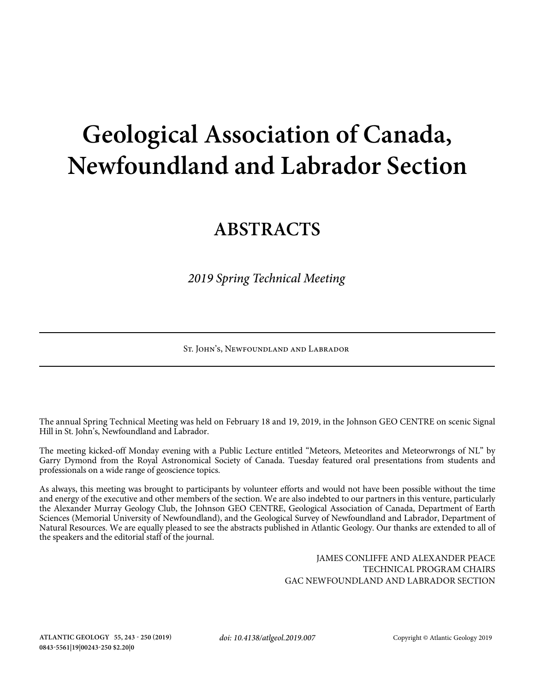# **Geological Association of Canada, Newfoundland and Labrador Section**

## **ABSTRACTS**

*2019 Spring Technical Meeting*

St. John's, Newfoundland and Labrador

The annual Spring Technical Meeting was held on February 18 and 19, 2019, in the Johnson GEO CENTRE on scenic Signal Hill in St. John's, Newfoundland and Labrador.

The meeting kicked-off Monday evening with a Public Lecture entitled "Meteors, Meteorites and Meteorwrongs of NL" by Garry Dymond from the Royal Astronomical Society of Canada. Tuesday featured oral presentations from students and professionals on a wide range of geoscience topics.

As always, this meeting was brought to participants by volunteer efforts and would not have been possible without the time and energy of the executive and other members of the section. We are also indebted to our partners in this venture, particularly the Alexander Murray Geology Club, the Johnson GEO CENTRE, Geological Association of Canada, Department of Earth Sciences (Memorial University of Newfoundland), and the Geological Survey of Newfoundland and Labrador, Department of Natural Resources. We are equally pleased to see the abstracts published in Atlantic Geology. Our thanks are extended to all of the speakers and the editorial staff of the journal.

> JAMES CONLIFFE AND ALEXANDER PEACE TECHNICAL PROGRAM CHAIRS GAC NEWFOUNDLAND AND LABRADOR SECTION

*doi: 10.4138/atlgeol.2019.007*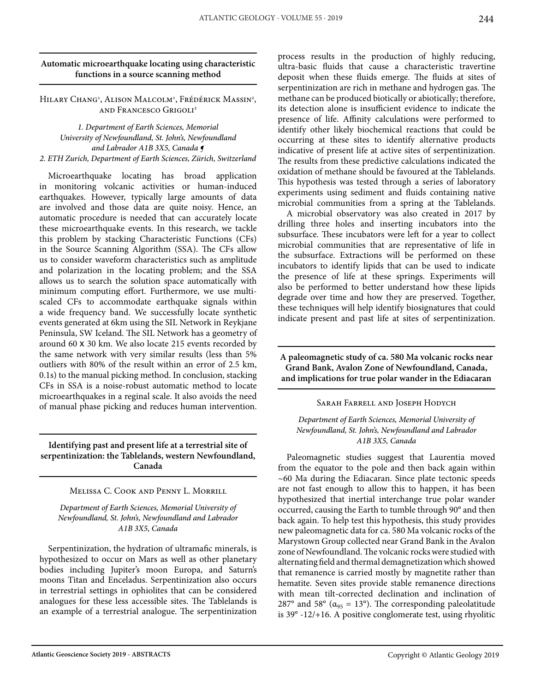#### **Automatic microearthquake locating using characteristic functions in a source scanning method**

Hilary Chang<sup>1</sup>, Alison Malcolm<sup>1</sup>, Frédérick Massin<sup>2</sup>, and Francesco Grigoli2

*1. Department of Earth Sciences, Memorial University of Newfoundland, St. John's, Newfoundland and Labrador A1B 3X5, Canada ¶ 2. ETH Zurich, Department of Earth Sciences, Zürich, Switzerland*

Microearthquake locating has broad application in monitoring volcanic activities or human-induced earthquakes. However, typically large amounts of data are involved and those data are quite noisy. Hence, an automatic procedure is needed that can accurately locate these microearthquake events. In this research, we tackle this problem by stacking Characteristic Functions (CFs) in the Source Scanning Algorithm (SSA). The CFs allow us to consider waveform characteristics such as amplitude and polarization in the locating problem; and the SSA allows us to search the solution space automatically with minimum computing effort. Furthermore, we use multiscaled CFs to accommodate earthquake signals within a wide frequency band. We successfully locate synthetic events generated at 6km using the SIL Network in Reykjane Peninsula, SW Iceland. The SIL Network has a geometry of around 60 x 30 km. We also locate 215 events recorded by the same network with very similar results (less than 5% outliers with 80% of the result within an error of 2.5 km, 0.1s) to the manual picking method. In conclusion, stacking CFs in SSA is a noise-robust automatic method to locate microearthquakes in a reginal scale. It also avoids the need of manual phase picking and reduces human intervention.

**Identifying past and present life at a terrestrial site of serpentinization: the Tablelands, western Newfoundland, Canada**

#### Melissa C. Cook and Penny L. Morrill

*Department of Earth Sciences, Memorial University of Newfoundland, St. John's, Newfoundland and Labrador A1B 3X5, Canada*

Serpentinization, the hydration of ultramafic minerals, is hypothesized to occur on Mars as well as other planetary bodies including Jupiter's moon Europa, and Saturn's moons Titan and Enceladus. Serpentinization also occurs in terrestrial settings in ophiolites that can be considered analogues for these less accessible sites. The Tablelands is an example of a terrestrial analogue. The serpentinization process results in the production of highly reducing, ultra-basic fluids that cause a characteristic travertine deposit when these fluids emerge. The fluids at sites of serpentinization are rich in methane and hydrogen gas. The methane can be produced biotically or abiotically; therefore, its detection alone is insufficient evidence to indicate the presence of life. Affinity calculations were performed to identify other likely biochemical reactions that could be occurring at these sites to identify alternative products indicative of present life at active sites of serpentinization. The results from these predictive calculations indicated the oxidation of methane should be favoured at the Tablelands. This hypothesis was tested through a series of laboratory experiments using sediment and fluids containing native microbial communities from a spring at the Tablelands.

A microbial observatory was also created in 2017 by drilling three holes and inserting incubators into the subsurface. These incubators were left for a year to collect microbial communities that are representative of life in the subsurface. Extractions will be performed on these incubators to identify lipids that can be used to indicate the presence of life at these springs. Experiments will also be performed to better understand how these lipids degrade over time and how they are preserved. Together, these techniques will help identify biosignatures that could indicate present and past life at sites of serpentinization.

**A paleomagnetic study of ca. 580 Ma volcanic rocks near Grand Bank, Avalon Zone of Newfoundland, Canada, and implications for true polar wander in the Ediacaran**

Sarah Farrell and Joseph Hodych

*Department of Earth Sciences, Memorial University of Newfoundland, St. John's, Newfoundland and Labrador A1B 3X5, Canada*

Paleomagnetic studies suggest that Laurentia moved from the equator to the pole and then back again within ~60 Ma during the Ediacaran. Since plate tectonic speeds are not fast enough to allow this to happen, it has been hypothesized that inertial interchange true polar wander occurred, causing the Earth to tumble through 90° and then back again. To help test this hypothesis, this study provides new paleomagnetic data for ca. 580 Ma volcanic rocks of the Marystown Group collected near Grand Bank in the Avalon zone of Newfoundland. The volcanic rocks were studied with alternating field and thermal demagnetization which showed that remanence is carried mostly by magnetite rather than hematite. Seven sites provide stable remanence directions with mean tilt-corrected declination and inclination of 287° and 58° ( $\alpha_{95}$  = 13°). The corresponding paleolatitude is 39° -12/+16. A positive conglomerate test, using rhyolitic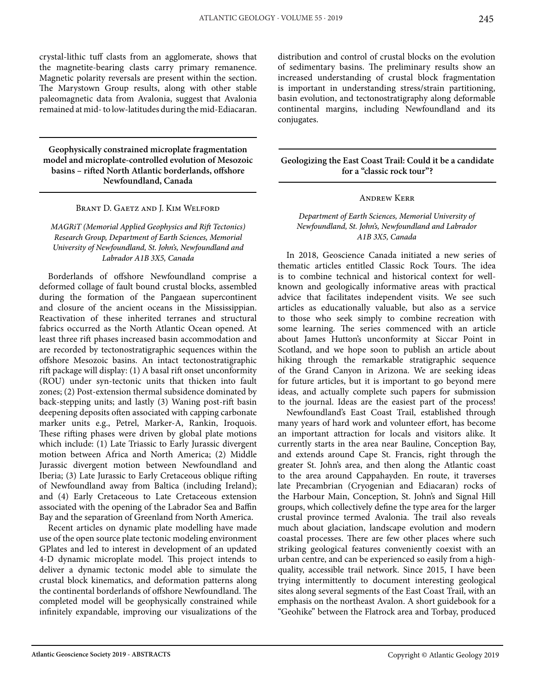crystal-lithic tuff clasts from an agglomerate, shows that the magnetite-bearing clasts carry primary remanence. Magnetic polarity reversals are present within the section. The Marystown Group results, along with other stable paleomagnetic data from Avalonia, suggest that Avalonia remained at mid- to low-latitudes during the mid-Ediacaran.

**Geophysically constrained microplate fragmentation model and microplate-controlled evolution of Mesozoic basins – rifted North Atlantic borderlands, offshore Newfoundland, Canada**

#### Brant D. Gaetz and J. Kim Welford

#### *MAGRiT (Memorial Applied Geophysics and Rift Tectonics) Research Group, Department of Earth Sciences, Memorial University of Newfoundland, St. John's, Newfoundland and Labrador A1B 3X5, Canada*

Borderlands of offshore Newfoundland comprise a deformed collage of fault bound crustal blocks, assembled during the formation of the Pangaean supercontinent and closure of the ancient oceans in the Mississippian. Reactivation of these inherited terranes and structural fabrics occurred as the North Atlantic Ocean opened. At least three rift phases increased basin accommodation and are recorded by tectonostratigraphic sequences within the offshore Mesozoic basins. An intact tectonostratigraphic rift package will display: (1) A basal rift onset unconformity (ROU) under syn-tectonic units that thicken into fault zones; (2) Post-extension thermal subsidence dominated by back-stepping units; and lastly (3) Waning post-rift basin deepening deposits often associated with capping carbonate marker units e.g., Petrel, Marker-A, Rankin, Iroquois. These rifting phases were driven by global plate motions which include: (1) Late Triassic to Early Jurassic divergent motion between Africa and North America; (2) Middle Jurassic divergent motion between Newfoundland and Iberia; (3) Late Jurassic to Early Cretaceous oblique rifting of Newfoundland away from Baltica (including Ireland); and (4) Early Cretaceous to Late Cretaceous extension associated with the opening of the Labrador Sea and Baffin Bay and the separation of Greenland from North America.

Recent articles on dynamic plate modelling have made use of the open source plate tectonic modeling environment GPlates and led to interest in development of an updated 4-D dynamic microplate model. This project intends to deliver a dynamic tectonic model able to simulate the crustal block kinematics, and deformation patterns along the continental borderlands of offshore Newfoundland. The completed model will be geophysically constrained while infinitely expandable, improving our visualizations of the

distribution and control of crustal blocks on the evolution of sedimentary basins. The preliminary results show an increased understanding of crustal block fragmentation is important in understanding stress/strain partitioning, basin evolution, and tectonostratigraphy along deformable continental margins, including Newfoundland and its conjugates.

#### **Geologizing the East Coast Trail: Could it be a candidate for a "classic rock tour"?**

#### Andrew Kerr

#### *Department of Earth Sciences, Memorial University of Newfoundland, St. John's, Newfoundland and Labrador A1B 3X5, Canada*

In 2018, Geoscience Canada initiated a new series of thematic articles entitled Classic Rock Tours. The idea is to combine technical and historical context for wellknown and geologically informative areas with practical advice that facilitates independent visits. We see such articles as educationally valuable, but also as a service to those who seek simply to combine recreation with some learning. The series commenced with an article about James Hutton's unconformity at Siccar Point in Scotland, and we hope soon to publish an article about hiking through the remarkable stratigraphic sequence of the Grand Canyon in Arizona. We are seeking ideas for future articles, but it is important to go beyond mere ideas, and actually complete such papers for submission to the journal. Ideas are the easiest part of the process!

Newfoundland's East Coast Trail, established through many years of hard work and volunteer effort, has become an important attraction for locals and visitors alike. It currently starts in the area near Bauline, Conception Bay, and extends around Cape St. Francis, right through the greater St. John's area, and then along the Atlantic coast to the area around Cappahayden. En route, it traverses late Precambrian (Cryogenian and Ediacaran) rocks of the Harbour Main, Conception, St. John's and Signal Hill groups, which collectively define the type area for the larger crustal province termed Avalonia. The trail also reveals much about glaciation, landscape evolution and modern coastal processes. There are few other places where such striking geological features conveniently coexist with an urban centre, and can be experienced so easily from a highquality, accessible trail network. Since 2015, I have been trying intermittently to document interesting geological sites along several segments of the East Coast Trail, with an emphasis on the northeast Avalon. A short guidebook for a "Geohike" between the Flatrock area and Torbay, produced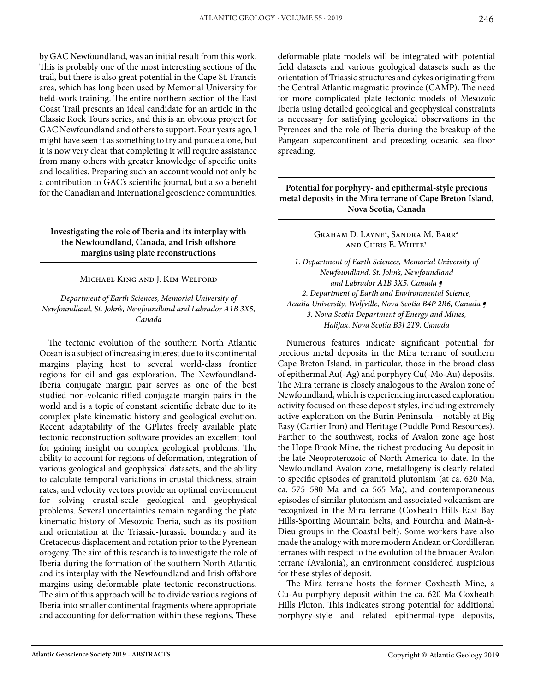by GAC Newfoundland, was an initial result from this work. This is probably one of the most interesting sections of the trail, but there is also great potential in the Cape St. Francis area, which has long been used by Memorial University for field-work training. The entire northern section of the East Coast Trail presents an ideal candidate for an article in the Classic Rock Tours series, and this is an obvious project for GAC Newfoundland and others to support. Four years ago, I might have seen it as something to try and pursue alone, but it is now very clear that completing it will require assistance from many others with greater knowledge of specific units and localities. Preparing such an account would not only be a contribution to GAC's scientific journal, but also a benefit for the Canadian and International geoscience communities.

**Investigating the role of Iberia and its interplay with the Newfoundland, Canada, and Irish offshore margins using plate reconstructions**

#### Michael King and J. Kim Welford

*Department of Earth Sciences, Memorial University of Newfoundland, St. John's, Newfoundland and Labrador A1B 3X5, Canada*

The tectonic evolution of the southern North Atlantic Ocean is a subject of increasing interest due to its continental margins playing host to several world-class frontier regions for oil and gas exploration. The Newfoundland-Iberia conjugate margin pair serves as one of the best studied non-volcanic rifted conjugate margin pairs in the world and is a topic of constant scientific debate due to its complex plate kinematic history and geological evolution. Recent adaptability of the GPlates freely available plate tectonic reconstruction software provides an excellent tool for gaining insight on complex geological problems. The ability to account for regions of deformation, integration of various geological and geophysical datasets, and the ability to calculate temporal variations in crustal thickness, strain rates, and velocity vectors provide an optimal environment for solving crustal-scale geological and geophysical problems. Several uncertainties remain regarding the plate kinematic history of Mesozoic Iberia, such as its position and orientation at the Triassic-Jurassic boundary and its Cretaceous displacement and rotation prior to the Pyrenean orogeny. The aim of this research is to investigate the role of Iberia during the formation of the southern North Atlantic and its interplay with the Newfoundland and Irish offshore margins using deformable plate tectonic reconstructions. The aim of this approach will be to divide various regions of Iberia into smaller continental fragments where appropriate and accounting for deformation within these regions. These

deformable plate models will be integrated with potential field datasets and various geological datasets such as the orientation of Triassic structures and dykes originating from the Central Atlantic magmatic province (CAMP). The need for more complicated plate tectonic models of Mesozoic Iberia using detailed geological and geophysical constraints is necessary for satisfying geological observations in the Pyrenees and the role of Iberia during the breakup of the Pangean supercontinent and preceding oceanic sea-floor spreading.

#### **Potential for porphyry- and epithermal-style precious metal deposits in the Mira terrane of Cape Breton Island, Nova Scotia, Canada**

Graham D. Layne<sup>1</sup>, Sandra M. Barr<sup>2</sup> and Chris E. White3

*1. Department of Earth Sciences, Memorial University of Newfoundland, St. John's, Newfoundland and Labrador A1B 3X5, Canada ¶ 2. Department of Earth and Environmental Science, Acadia University, Wolfville, Nova Scotia B4P 2R6, Canada ¶ 3. Nova Scotia Department of Energy and Mines, Halifax, Nova Scotia B3J 2T9, Canada*

Numerous features indicate significant potential for precious metal deposits in the Mira terrane of southern Cape Breton Island, in particular, those in the broad class of epithermal Au(-Ag) and porphyry Cu(-Mo-Au) deposits. The Mira terrane is closely analogous to the Avalon zone of Newfoundland, which is experiencing increased exploration activity focused on these deposit styles, including extremely active exploration on the Burin Peninsula – notably at Big Easy (Cartier Iron) and Heritage (Puddle Pond Resources). Farther to the southwest, rocks of Avalon zone age host the Hope Brook Mine, the richest producing Au deposit in the late Neoproterozoic of North America to date. In the Newfoundland Avalon zone, metallogeny is clearly related to specific episodes of granitoid plutonism (at ca. 620 Ma, ca. 575–580 Ma and ca 565 Ma), and contemporaneous episodes of similar plutonism and associated volcanism are recognized in the Mira terrane (Coxheath Hills-East Bay Hills-Sporting Mountain belts, and Fourchu and Main-à-Dieu groups in the Coastal belt). Some workers have also made the analogy with more modern Andean or Cordilleran terranes with respect to the evolution of the broader Avalon terrane (Avalonia), an environment considered auspicious for these styles of deposit.

The Mira terrane hosts the former Coxheath Mine, a Cu-Au porphyry deposit within the ca. 620 Ma Coxheath Hills Pluton. This indicates strong potential for additional porphyry-style and related epithermal-type deposits,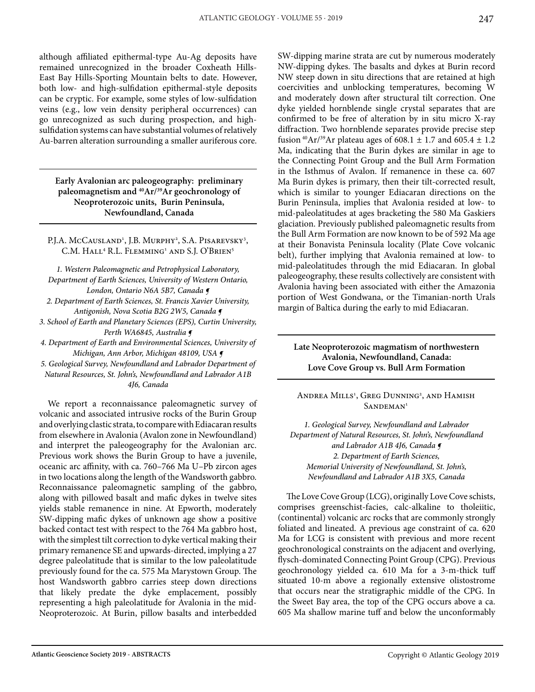although affiliated epithermal-type Au-Ag deposits have remained unrecognized in the broader Coxheath Hills-East Bay Hills-Sporting Mountain belts to date. However, both low- and high-sulfidation epithermal-style deposits can be cryptic. For example, some styles of low-sulfidation veins (e.g., low vein density peripheral occurrences) can go unrecognized as such during prospection, and highsulfidation systems can have substantial volumes of relatively Au-barren alteration surrounding a smaller auriferous core.

**early Avalonian arc paleogeography: preliminary paleomagnetism and <sup>40</sup>Ar/<sup>39</sup>Ar geochronology of neoproterozoic units, Burin Peninsula, newfoundland, canada**

P.J.A. McCausland<sup>1</sup>, J.B. Murphy<sup>2</sup>, S.A. Pisarevsky<sup>3</sup>, C.M. Hall<sup>4</sup> R.L. Flemming<sup>1</sup> and S.J. O'Brien<sup>5</sup>

*1. Western Paleomagnetic and Petrophysical Laboratory, Department of Earth Sciences, University of Western Ontario, London, Ontario N6A 5B7, Canada ¶* 

*2. Department of Earth Sciences, St. Francis Xavier University, Antigonish, Nova Scotia B2G 2W5, Canada ¶* 

*3. School of Earth and Planetary Sciences (EPS), Curtin University, Perth WA6845, Australia ¶* 

*4. Department of Earth and Environmental Sciences, University of Michigan, Ann Arbor, Michigan 48109, USA ¶* 

*5. Geological Survey, Newfoundland and Labrador Department of Natural Resources, St. John's, Newfoundland and Labrador A1B 4J6, Canada*

We report a reconnaissance paleomagnetic survey of volcanic and associated intrusive rocks of the Burin Group and overlying clastic strata, to compare with Ediacaran results from elsewhere in Avalonia (Avalon zone in Newfoundland) and interpret the paleogeography for the Avalonian arc. Previous work shows the Burin Group to have a juvenile, oceanic arc affinity, with ca. 760–766 Ma U–Pb zircon ages in two locations along the length of the Wandsworth gabbro. Reconnaissance paleomagnetic sampling of the gabbro, along with pillowed basalt and mafic dykes in twelve sites yields stable remanence in nine. At Epworth, moderately SW-dipping mafic dykes of unknown age show a positive backed contact test with respect to the 764 Ma gabbro host, with the simplest tilt correction to dyke vertical making their primary remanence SE and upwards-directed, implying a 27 degree paleolatitude that is similar to the low paleolatitude previously found for the ca. 575 Ma Marystown Group. The host Wandsworth gabbro carries steep down directions that likely predate the dyke emplacement, possibly representing a high paleolatitude for Avalonia in the mid-Neoproterozoic. At Burin, pillow basalts and interbedded SW-dipping marine strata are cut by numerous moderately NW-dipping dykes. The basalts and dykes at Burin record NW steep down in situ directions that are retained at high coercivities and unblocking temperatures, becoming W and moderately down after structural tilt correction. One dyke yielded hornblende single crystal separates that are confirmed to be free of alteration by in situ micro X-ray diffraction. Two hornblende separates provide precise step fusion <sup>40</sup>Ar/<sup>39</sup>Ar plateau ages of 608.1  $\pm$  1.7 and 605.4  $\pm$  1.2 Ma, indicating that the Burin dykes are similar in age to the Connecting Point Group and the Bull Arm Formation in the Isthmus of Avalon. If remanence in these ca. 607 Ma Burin dykes is primary, then their tilt-corrected result, which is similar to younger Ediacaran directions on the Burin Peninsula, implies that Avalonia resided at low- to mid-paleolatitudes at ages bracketing the 580 Ma Gaskiers glaciation. Previously published paleomagnetic results from the Bull Arm Formation are now known to be of 592 Ma age at their Bonavista Peninsula locality (Plate Cove volcanic belt), further implying that Avalonia remained at low- to mid-paleolatitudes through the mid Ediacaran. In global paleogeography, these results collectively are consistent with Avalonia having been associated with either the Amazonia portion of West Gondwana, or the Timanian-north Urals margin of Baltica during the early to mid Ediacaran.

#### **Late Neoproterozoic magmatism of northwestern Avalonia, Newfoundland, Canada: Love Cove Group vs. Bull Arm Formation**

Andrea Mills<sup>1</sup>, Greg Dunning<sup>2</sup>, and Hamish SANDEMAN<sup>1</sup>

*1. Geological Survey, Newfoundland and Labrador Department of Natural Resources, St. John's, Newfoundland and Labrador A1B 4J6, Canada ¶ 2. Department of Earth Sciences, Memorial University of Newfoundland, St. John's, Newfoundland and Labrador A1B 3X5, Canada*

The Love Cove Group (LCG), originally Love Cove schists, comprises greenschist-facies, calc-alkaline to tholeiitic, (continental) volcanic arc rocks that are commonly strongly foliated and lineated. A previous age constraint of ca. 620 Ma for LCG is consistent with previous and more recent geochronological constraints on the adjacent and overlying, flysch-dominated Connecting Point Group (CPG). Previous geochronology yielded ca. 610 Ma for a 3-m-thick tuff situated 10-m above a regionally extensive olistostrome that occurs near the stratigraphic middle of the CPG. In the Sweet Bay area, the top of the CPG occurs above a ca. 605 Ma shallow marine tuff and below the unconformably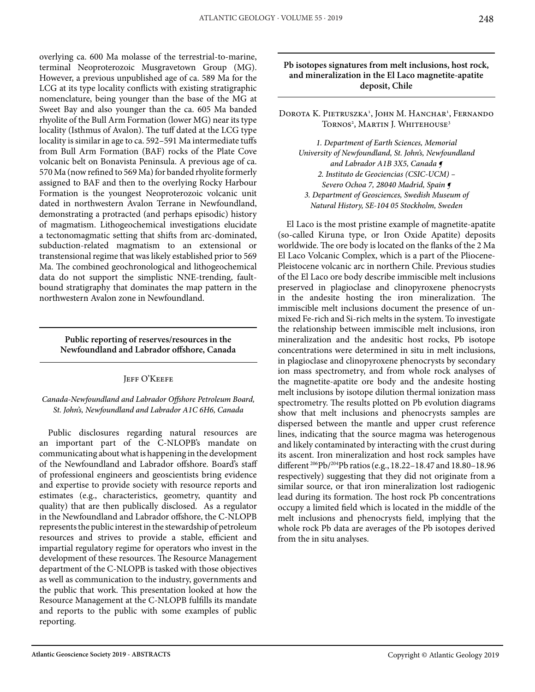overlying ca. 600 Ma molasse of the terrestrial-to-marine, terminal Neoproterozoic Musgravetown Group (MG). However, a previous unpublished age of ca. 589 Ma for the LCG at its type locality conflicts with existing stratigraphic nomenclature, being younger than the base of the MG at Sweet Bay and also younger than the ca. 605 Ma banded rhyolite of the Bull Arm Formation (lower MG) near its type locality (Isthmus of Avalon). The tuff dated at the LCG type locality is similar in age to ca. 592–591 Ma intermediate tuffs from Bull Arm Formation (BAF) rocks of the Plate Cove volcanic belt on Bonavista Peninsula. A previous age of ca. 570 Ma (now refined to 569 Ma) for banded rhyolite formerly assigned to BAF and then to the overlying Rocky Harbour Formation is the youngest Neoproterozoic volcanic unit dated in northwestern Avalon Terrane in Newfoundland, demonstrating a protracted (and perhaps episodic) history of magmatism. Lithogeochemical investigations elucidate a tectonomagmatic setting that shifts from arc-dominated, subduction-related magmatism to an extensional or transtensional regime that was likely established prior to 569 Ma. The combined geochronological and lithogeochemical data do not support the simplistic NNE-trending, faultbound stratigraphy that dominates the map pattern in the northwestern Avalon zone in Newfoundland.

**Public reporting of reserves/resources in the Newfoundland and Labrador offshore, Canada**

#### JEFF O'KEEFE

#### *Canada-Newfoundland and Labrador Offshore Petroleum Board, St. John's, Newfoundland and Labrador A1C 6H6, Canada*

Public disclosures regarding natural resources are an important part of the C-NLOPB's mandate on communicating about what is happening in the development of the Newfoundland and Labrador offshore. Board's staff of professional engineers and geoscientists bring evidence and expertise to provide society with resource reports and estimates (e.g., characteristics, geometry, quantity and quality) that are then publically disclosed. As a regulator in the Newfoundland and Labrador offshore, the C-NLOPB represents the public interest in the stewardship of petroleum resources and strives to provide a stable, efficient and impartial regulatory regime for operators who invest in the development of these resources. The Resource Management department of the C-NLOPB is tasked with those objectives as well as communication to the industry, governments and the public that work. This presentation looked at how the Resource Management at the C-NLOPB fulfills its mandate and reports to the public with some examples of public reporting.

#### **Pb isotopes signatures from melt inclusions, host rock, and mineralization in the El Laco magnetite-apatite deposit, Chile**

Dorota K. Pietruszka<sup>1</sup>, John M. Hanchar<sup>1</sup>, Fernando Tornos<sup>2</sup>, Martin J. Whitehouse<sup>3</sup>

*1. Department of Earth Sciences, Memorial University of Newfoundland, St. John's, Newfoundland and Labrador A1B 3X5, Canada ¶ 2. Instituto de Geociencias (CSIC-UCM) – Severo Ochoa 7, 28040 Madrid, Spain ¶ 3. Department of Geosciences, Swedish Museum of Natural History, SE-104 05 Stockholm, Sweden*

El Laco is the most pristine example of magnetite-apatite (so-called Kiruna type, or Iron Oxide Apatite) deposits worldwide. The ore body is located on the flanks of the 2 Ma El Laco Volcanic Complex, which is a part of the Pliocene-Pleistocene volcanic arc in northern Chile. Previous studies of the El Laco ore body describe immiscible melt inclusions preserved in plagioclase and clinopyroxene phenocrysts in the andesite hosting the iron mineralization. The immiscible melt inclusions document the presence of unmixed Fe-rich and Si-rich melts in the system. To investigate the relationship between immiscible melt inclusions, iron mineralization and the andesitic host rocks, Pb isotope concentrations were determined in situ in melt inclusions, in plagioclase and clinopyroxene phenocrysts by secondary ion mass spectrometry, and from whole rock analyses of the magnetite-apatite ore body and the andesite hosting melt inclusions by isotope dilution thermal ionization mass spectrometry. The results plotted on Pb evolution diagrams show that melt inclusions and phenocrysts samples are dispersed between the mantle and upper crust reference lines, indicating that the source magma was heterogenous and likely contaminated by interacting with the crust during its ascent. Iron mineralization and host rock samples have different 206Pb/204Pb ratios (e.g., 18.22–18.47 and 18.80–18.96 respectively) suggesting that they did not originate from a similar source, or that iron mineralization lost radiogenic lead during its formation. The host rock Pb concentrations occupy a limited field which is located in the middle of the melt inclusions and phenocrysts field, implying that the whole rock Pb data are averages of the Pb isotopes derived from the in situ analyses.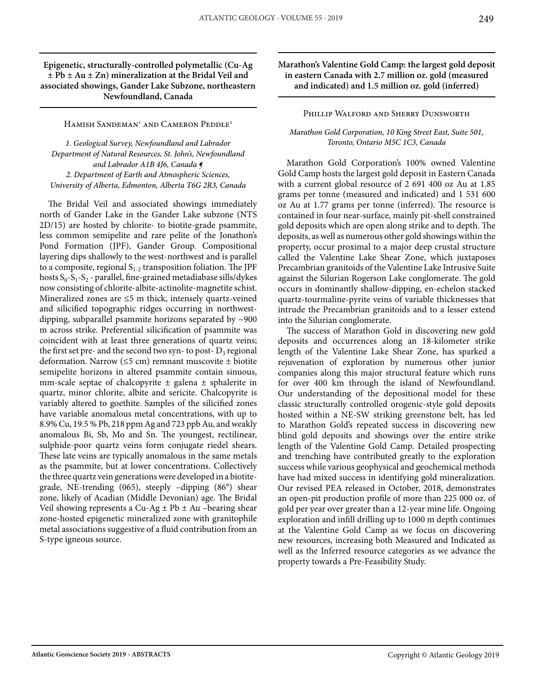#### **Epigenetic, structurally-controlled polymetallic (Cu-Ag ± Pb ± Au ± Zn) mineralization at the Bridal Veil and associated showings, Gander Lake Subzone, northeastern Newfoundland, Canada**

Hamish Sandeman<sup>1</sup> and Cameron Peddle<sup>2</sup>

*1. Geological Survey, Newfoundland and Labrador Department of Natural Resources, St. John's, Newfoundland and Labrador A1B 4J6, Canada ¶ 2. Department of Earth and Atmospheric Sciences, University of Alberta, Edmonton, Alberta T6G 2R3, Canada*

The Bridal Veil and associated showings immediately north of Gander Lake in the Gander Lake subzone (NTS 2D/15) are hosted by chlorite- to biotite-grade psammite, less common semipelite and rare pelite of the Jonathon's Pond Formation (JPF), Gander Group. Compositional layering dips shallowly to the west-northwest and is parallel to a composite, regional  $S_{1-2}$  transposition foliation. The JPF hosts  $S_0-S_1-S_2$  - parallel, fine-grained metadiabase sills/dykes now consisting of chlorite-albite-actinolite-magnetite schist. Mineralized zones are ≤5 m thick, intensely quartz-veined and silicified topographic ridges occurring in northwestdipping, subparallel psammite horizons separated by ~900 m across strike. Preferential silicification of psammite was coincident with at least three generations of quartz veins; the first set pre- and the second two syn- to post- $D_3$  regional deformation. Narrow ( $\leq$ 5 cm) remnant muscovite  $\pm$  biotite semipelite horizons in altered psammite contain sinuous, mm-scale septae of chalcopyrite  $\pm$  galena  $\pm$  sphalerite in quartz, minor chlorite, albite and sericite. Chalcopyrite is variably altered to goethite. Samples of the silicified zones have variable anomalous metal concentrations, with up to 8.9% Cu, 19.5 % Pb, 218 ppm Ag and 723 ppb Au, and weakly anomalous Bi, Sb, Mo and Sn. The youngest, rectilinear, sulphide-poor quartz veins form conjugate riedel shears. These late veins are typically anomalous in the same metals as the psammite, but at lower concentrations. Collectively the three quartz vein generations were developed in a biotitegrade, NE-trending (065), steeply –dipping (86°) shear zone, likely of Acadian (Middle Devonian) age. The Bridal Veil showing represents a Cu-Ag  $\pm$  Pb  $\pm$  Au –bearing shear zone-hosted epigenetic mineralized zone with granitophile metal associations suggestive of a fluid contribution from an S-type igneous source.

**Marathon's Valentine Gold Camp: the largest gold deposit in eastern Canada with 2.7 million oz. gold (measured and indicated) and 1.5 million oz. gold (inferred)**

#### Phillip Walford and Sherry Dunsworth

*Marathon Gold Corporation, 10 King Street East, Suite 501, Toronto, Ontario M5C 1C3, Canada*

Marathon Gold Corporation's 100% owned Valentine Gold Camp hosts the largest gold deposit in Eastern Canada with a current global resource of 2 691 400 oz Au at 1.85 grams per tonne (measured and indicated) and 1 531 600 oz Au at 1.77 grams per tonne (inferred). The resource is contained in four near-surface, mainly pit-shell constrained gold deposits which are open along strike and to depth. The deposits, as well as numerous other gold showings within the property, occur proximal to a major deep crustal structure called the Valentine Lake Shear Zone, which juxtaposes Precambrian granitoids of the Valentine Lake Intrusive Suite against the Silurian Rogerson Lake conglomerate. The gold occurs in dominantly shallow-dipping, en-echelon stacked quartz-tourmaline-pyrite veins of variable thicknesses that intrude the Precambrian granitoids and to a lesser extend into the Silurian conglomerate.

The success of Marathon Gold in discovering new gold deposits and occurrences along an 18-kilometer strike length of the Valentine Lake Shear Zone, has sparked a rejuvenation of exploration by numerous other junior companies along this major structural feature which runs for over 400 km through the island of Newfoundland. Our understanding of the depositional model for these classic structurally controlled orogenic-style gold deposits hosted within a NE-SW striking greenstone belt, has led to Marathon Gold's repeated success in discovering new blind gold deposits and showings over the entire strike length of the Valentine Gold Camp. Detailed prospecting and trenching have contributed greatly to the exploration success while various geophysical and geochemical methods have had mixed success in identifying gold mineralization. Our revised PEA released in October, 2018, demonstrates an open-pit production profile of more than 225 000 oz. of gold per year over greater than a 12-year mine life. Ongoing exploration and infill drilling up to 1000 m depth continues at the Valentine Gold Camp as we focus on discovering new resources, increasing both Measured and Indicated as well as the Inferred resource categories as we advance the property towards a Pre-Feasibility Study.